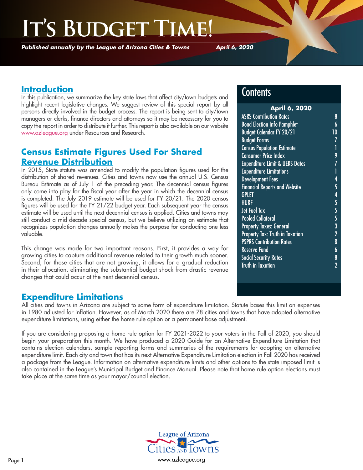## **IS BUDGET**

*Published annually by the League of Arizona Cities & Towns*

*April 6, 2020*

## **Introduction**

In this publication, we summarize the key state laws that affect city/town budgets and highlight recent legislative changes. We suggest review of this special report by all persons directly involved in the budget process. The report is being sent to city/town managers or clerks, finance directors and attorneys so it may be necessary for you to copy the report in order to distribute it further. This report is also available on our website [www.azleague.org](http://www.azleague.org) under Resources and Research.

## **Census Estimate Figures Used For Shared Revenue Distribution**

In 2015, State statute was amended to modify the population figures used for the distribution of shared revenues. Cities and towns now use the annual U.S. Census Bureau Estimate as of July 1 of the preceding year. The decennial census figures only come into play for the fiscal year after the year in which the decennial census is completed. The July 2019 estimate will be used for FY 20/21. The 2020 census figures will be used for the FY 21/22 budget year. Each subsequent year the census estimate will be used until the next decennial census is applied. Cities and towns may still conduct a mid-decade special census, but we believe utilizing an estimate that recognizes population changes annually makes the purpose for conducting one less valuable.

This change was made for two important reasons. First, it provides a way for growing cities to capture additional revenue related to their growth much sooner. Second, for those cities that are not growing, it allows for a gradual reduction in their allocation, eliminating the substantial budget shock from drastic revenue changes that could occur at the next decennial census.

## **Contents**

| <b>April 6, 2020</b>                      |                  |
|-------------------------------------------|------------------|
| <b>ASRS Contribution Rates</b>            | 8                |
| <b>Bond Election Info Pamphlet</b>        | 6                |
| <b>Budget Calendar FY 20/21</b>           | 10               |
| <b>Budget Forms</b>                       | 7                |
| <b>Census Population Estimate</b>         |                  |
| <b>Consumer Price Index</b>               | ן<br>9           |
| <b>Expenditure Limit &amp; UERS Dates</b> | 7                |
| <b>Expenditure Limitations</b>            | $\overline{1}$   |
| <b>Development Fees</b>                   | 4                |
| <b>Financial Reports and Website</b>      | 5                |
| <b>GPLET</b>                              | 4                |
| <b>HURF</b>                               | 5                |
| Jet Fuel Tax                              | 5                |
| <b>Pooled Collateral</b>                  |                  |
| <b>Property Taxes: General</b>            |                  |
| Property Tax: Truth in Taxation           |                  |
| <b>PSPRS Contribution Rates</b>           | 5<br>3<br>2<br>8 |
| Reserve Fund                              | $\boldsymbol{6}$ |
| <b>Social Security Rates</b>              | 8                |
| <b>Truth in Taxation</b>                  | $\overline{2}$   |
|                                           |                  |

### **Expenditure Limitations**

All cities and towns in Arizona are subject to some form of expenditure limitation. Statute bases this limit on expenses in 1980 adjusted for inflation. However, as of March 2020 there are 78 cities and towns that have adopted alternative expenditure limitations, using either the home rule option or a permanent base adjustment.

If you are considering proposing a home rule option for FY 2021-2022 to your voters in the Fall of 2020, you should begin your preparation this month. We have produced a 2020 Guide for an Alternative Expenditure Limitation that contains election calendars, sample reporting forms and summaries of the requirements for adopting an alternative expenditure limit. Each city and town that has its next Alternative Expenditure Limitation election in Fall 2020 has received a package from the League. Information on alternative expenditure limits and other options to the state imposed limit is also contained in the League's Municipal Budget and Finance Manual. Please note that home rule option elections must take place at the same time as your mayor/council election.

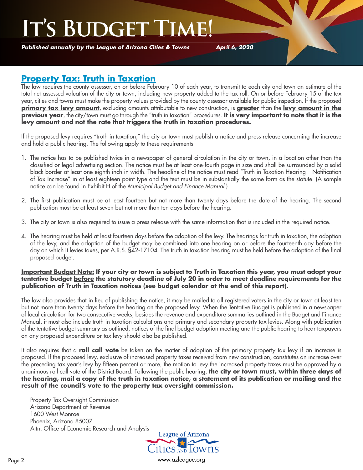# **IT'S BUDGET**

*Published annually by the League of Arizona Cities & Towns*

*April 6, 2020*

### **Property Tax: Truth in Taxation**

The law requires the county assessor, on or before February 10 of each year, to transmit to each city and town an estimate of the total net assessed valuation of the city or town, including new property added to the tax roll. On or before February 15 of the tax year, cities and towns must make the property values provided by the county assessor available for public inspection. If the proposed **primary tax levy amount**, excluding amounts attributable to new construction, is **greater** than the **levy amount in the previous year**, the city/town must go through the "truth in taxation" procedures. It is very important to note that it is the **levy amount and not the rate that triggers the truth in taxation procedures.**

If the proposed levy requires "truth in taxation," the city or town must publish a notice and press release concerning the increase and hold a public hearing. The following apply to these requirements:

- 1. The notice has to be published twice in a newspaper of general circulation in the city or town, in a location other than the classified or legal advertising section. The notice must be at least one-fourth page in size and shall be surrounded by a solid black border at least one-eighth inch in width. The headline of the notice must read "Truth in Taxation Hearing – Notification of Tax Increase" in at least eighteen point type and the text must be in substantially the same form as the statute. (A sample notice can be found in Exhibit H of the *Municipal Budget and Finance Manual*.)
- 2. The first publication must be at least fourteen but not more than twenty days before the date of the hearing. The second publication must be at least seven but not more than ten days before the hearing.
- 3. The city or town is also required to issue a press release with the same information that is included in the required notice.
- 4. The hearing must be held at least fourteen days before the adoption of the levy. The hearings for truth in taxation, the adoption of the levy, and the adoption of the budget may be combined into one hearing on or before the fourteenth day before the day on which it levies taxes, per A.R.S. §42-17104. The truth in taxation hearing must be held <u>before</u> the adoption of the final proposed budget.

#### **Important Budget Note: If your city or town is subject to Truth in Taxation this year, you must adopt your tentative budget before the statutory deadline of July 20 in order to meet deadline requirements for the publication of Truth in Taxation notices (see budget calendar at the end of this report).**

The law also provides that in lieu of publishing the notice, it may be mailed to all registered voters in the city or town at least ten but not more than twenty days before the hearing on the proposed levy. When the Tentative Budget is published in a newspaper of local circulation for two consecutive weeks, besides the revenue and expenditure summaries outlined in the Budget and Finance Manual, it must also include truth in taxation calculations and primary and secondary property tax levies. Along with publication of the tentative budget summary as outlined, notices of the final budget adoption meeting and the public hearing to hear taxpayers on any proposed expenditure or tax levy should also be published.

It also requires that a **roll call vote** be taken on the matter of adoption of the primary property tax levy if an increase is proposed. If the proposed levy, exclusive of increased property taxes received from new construction, constitutes an increase over the preceding tax year's levy by fifteen percent or more, the motion to levy the increased property taxes must be approved by a unanimous roll call vote of the District Board. Following the public hearing, **the city or town must, within three days of the hearing, mail a copy of the truth in taxation notice, a statement of its publication or mailing and the result of the council's vote to the property tax oversight commission.**

Property Tax Oversight Commission Arizona Department of Revenue 1600 West Monroe Phoenix, Arizona 85007 Attn: Office of Economic Research and Analysis



Page 2 [www.azleague.org](http://www.azleague.org)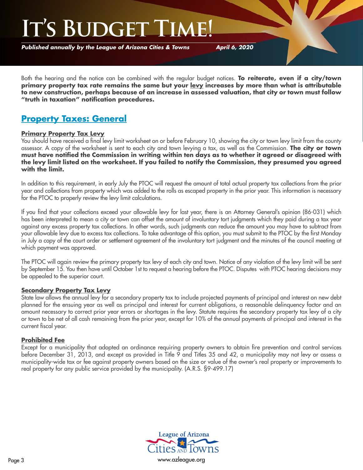## I'S BUDGET

*Published annually by the League of Arizona Cities & Towns*

*April 6, 2020*

Both the hearing and the notice can be combined with the regular budget notices. **To reiterate, even if a city/town primary property tax rate remains the same but your levy increases by more than what is attributable to new construction, perhaps because of an increase in assessed valuation, that city or town must follow "truth in taxation" notification procedures.**

## **Property Taxes: General**

#### **Primary Property Tax Levy**

You should have received a final levy limit worksheet on or before February 10, showing the city or town levy limit from the county assessor. A copy of the worksheet is sent to each city and town levying a tax, as well as the Commission. **The city or town must have notified the Commission in writing within ten days as to whether it agreed or disagreed with the levy limit listed on the worksheet. If you failed to notify the Commission, they presumed you agreed with the limit.**

In addition to this requirement, in early July the PTOC will request the amount of total actual property tax collections from the prior year and collections from property which was added to the rolls as escaped property in the prior year. This information is necessary for the PTOC to properly review the levy limit calculations.

If you find that your collections exceed your allowable levy for last year, there is an Attorney General's opinion (86-031) which has been interpreted to mean a city or town can offset the amount of involuntary tort judgments which they paid during a tax year against any excess property tax collections. In other words, such judgments can reduce the amount you may have to subtract from your allowable levy due to excess tax collections. To take advantage of this option, you must submit to the PTOC by the first Monday in July a copy of the court order or settlement agreement of the involuntary tort judgment and the minutes of the council meeting at which payment was approved.

The PTOC will again review the primary property tax levy of each city and town. Notice of any violation of the levy limit will be sent by September 15. You then have until October 1st to request a hearing before the PTOC. Disputes with PTOC hearing decisions may be appealed to the superior court.

#### **Secondary Property Tax Levy**

State law allows the annual levy for a secondary property tax to include projected payments of principal and interest on new debt planned for the ensuing year as well as principal and interest for current obligations, a reasonable delinquency factor and an amount necessary to correct prior year errors or shortages in the levy. Statute requires the secondary property tax levy of a city or town to be net of all cash remaining from the prior year, except for 10% of the annual payments of principal and interest in the current fiscal year.

#### **Prohibited Fee**

Except for a municipality that adopted an ordinance requiring property owners to obtain fire prevention and control services before December 31, 2013, and except as provided in Title 9 and Titles 35 and 42, a municipality may not levy or assess a municipality-wide tax or fee against property owners based on the size or value of the owner's real property or improvements to real property for any public service provided by the municipality. (A.R.S. §9-499.17)

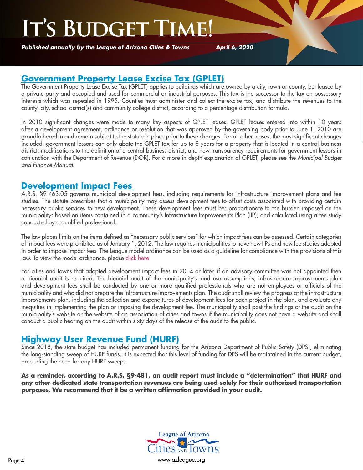# **IS BUDGET**

*Published annually by the League of Arizona Cities & Towns*

*April 6, 2020*

### **Government Property Lease Excise Tax (GPLET)**

The Government Property Lease Excise Tax (GPLET) applies to buildings which are owned by a city, town or county, but leased by a private party and occupied and used for commercial or industrial purposes. This tax is the successor to the tax on possessory interests which was repealed in 1995. Counties must administer and collect the excise tax, and distribute the revenues to the county, city, school district(s) and community college district, according to a percentage distribution formula.

In 2010 significant changes were made to many key aspects of GPLET leases. GPLET leases entered into within 10 years after a development agreement, ordinance or resolution that was approved by the governing body prior to June 1, 2010 are grandfathered in and remain subject to the statute in place prior to these changes. For all other leases, the most significant changes included: government lessors can only abate the GPLET tax for up to 8 years for a property that is located in a central business district; modifications to the definition of a central business district; and new transparency requirements for government lessors in conjunction with the Department of Revenue (DOR). For a more in-depth explanation of GPLET, please see the *Municipal Budget and Finance Manual*.

### **Development Impact Fees**

A.R.S. §9-463.05 governs municipal development fees, including requirements for infrastructure improvement plans and fee studies. The statute prescribes that a municipality may assess development fees to offset costs associated with providing certain necessary public services to new development. These development fees must be: proportionate to the burden imposed on the municipality; based on items contained in a community's Infrastructure Improvements Plan (IIP); and calculated using a fee study conducted by a qualified professional.

The law places limits on the items defined as "necessary public services" for which impact fees can be assessed. Certain categories of impact fees were prohibited as of January 1, 2012. The law requires municipalities to have new IIPs and new fee studies adopted in order to impose impact fees. The League model ordinance can be used as a guideline for compliance with the provisions of this law. To view the model ordinance, please [click here](http://az-lact.civicplus.com/DocumentCenter/View/1708).

For cities and towns that adopted development impact fees in 2014 or later, if an advisory committee was not appointed then a biennial audit is required. The biennial audit of the municipality's land use assumptions, infrastructure improvements plan and development fees shall be conducted by one or more qualified professionals who are not employees or officials of the municipality and who did not prepare the infrastructure improvements plan. The audit shall review the progress of the infrastructure improvements plan, including the collection and expenditures of development fees for each project in the plan, and evaluate any inequities in implementing the plan or imposing the development fee. The municipality shall post the findings of the audit on the municipality's website or the website of an association of cities and towns if the municipality does not have a website and shall conduct a public hearing on the audit within sixty days of the release of the audit to the public.

## **Highway User Revenue Fund (HURF)**

Since 2018, the state budget has included permanent funding for the Arizona Department of Public Safety (DPS), eliminating the long-standing sweep of HURF funds. It is expected that this level of funding for DPS will be maintained in the current budget, precluding the need for any HURF sweeps.

**As a reminder, according to A.R.S. §9-481, an audit report must include a "determination" that HURF and any other dedicated state transportation revenues are being used solely for their authorized transportation purposes. We recommend that it be a written affirmation provided in your audit.**

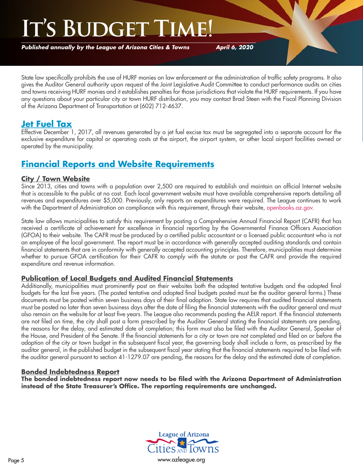*Published annually by the League of Arizona Cities & Towns*

*April 6, 2020*

State law specifically prohibits the use of HURF monies on law enforcement or the administration of traffic safety programs. It also gives the Auditor General authority upon request of the Joint Legislative Audit Committee to conduct performance audits on cities and towns receiving HURF monies and it establishes penalties for those jurisdictions that violate the HURF requirements. If you have any questions about your particular city or town HURF distribution, you may contact Brad Steen with the Fiscal Planning Division of the Arizona Department of Transportation at (602) 712-4637.

## **Jet Fuel Tax**

Effective December 1, 2017, all revenues generated by a jet fuel excise tax must be segregated into a separate account for the exclusive expenditure for capital or operating costs at the airport, the airport system, or other local airport facilities owned or operated by the municipality.

## **Financial Reports and Website Requirements**

#### **City / Town Website**

Since 2013, cities and towns with a population over 2,500 are required to establish and maintain an official Internet website that is accessible to the public at no cost. Each local government website must have available comprehensive reports detailing all revenues and expenditures over \$5,000. Previously, only reports on expenditures were required. The League continues to work with the Department of Administration on compliance with this requirement, through their website, [openbooks.az.gov.](http://openbooks.az.gov)

State law allows municipalities to satisfy this requirement by posting a Comprehensive Annual Financial Report (CAFR) that has received a certificate of achievement for excellence in financial reporting by the Governmental Finance Officers Association (GFOA) to their website. The CAFR must be produced by a certified public accountant or a licensed public accountant who is not an employee of the local government. The report must be in accordance with generally accepted auditing standards and contain financial statements that are in conformity with generally accepted accounting principles. Therefore, municipalities must determine whether to pursue GFOA certification for their CAFR to comply with the statute or post the CAFR and provide the required expenditure and revenue information.

#### **Publication of Local Budgets and Audited Financial Statements**

Additionally, municipalities must prominently post on their websites both the adopted tentative budgets and the adopted final budgets for the last five years. (The posted tentative and adopted final budgets posted must be the auditor general forms.) These documents must be posted within seven business days of their final adoption. State law requires that audited financial statements must be posted no later than seven business days after the date of filing the financial statements with the auditor general and must also remain on the website for at least five years. The League also recommends posting the AELR report. If the financial statements are not filed on time, the city shall post a form prescribed by the Auditor General stating the financial statements are pending, the reasons for the delay, and estimated date of completion; this form must also be filed with the Auditor General, Speaker of the House, and President of the Senate. If the financial statements for a city or town are not completed and filed on or before the adoption of the city or town budget in the subsequent fiscal year, the governing body shall include a form, as prescribed by the auditor general, in the published budget in the subsequent fiscal year stating that the financial statements required to be filed with the auditor general pursuant to section 41-1279.07 are pending, the reasons for the delay and the estimated date of completion.

#### **Bonded Indebtedness Report**

**The bonded indebtedness report now needs to be filed with the Arizona Department of Administration instead of the State Treasurer's Office. The reporting requirements are unchanged.**

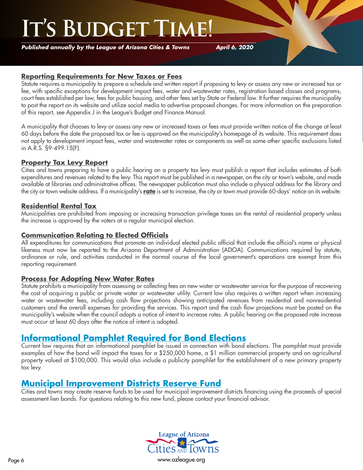*Published annually by the League of Arizona Cities & Towns*

*April 6, 2020*

#### **Reporting Requirements for New Taxes or Fees**

Statute requires a municipality to prepare a schedule and written report if proposing to levy or assess any new or increased tax or fee, with specific exceptions for development impact fees, water and wastewater rates, registration based classes and programs, court fees established per law, fees for public housing, and other fees set by State or Federal law. It further requires the municipality to post the report on its website and utilize social media to advertise proposed changes. For more information on the preparation of this report, see Appendix J in the League's Budget and Finance Manual.

A municipality that chooses to levy or assess any new or increased taxes or fees must provide written notice of the change at least 60 days before the date the proposed tax or fee is approved on the municipality's homepage of its website. This requirement does not apply to development impact fees, water and wastewater rates or components as well as some other specific exclusions listed in A.R.S. §9-499.15(F).

#### **Property Tax Levy Report**

Cities and towns preparing to have a public hearing on a property tax levy must publish a report that includes estimates of both expenditures and revenues related to the levy. This report must be published in a newspaper, on the city or town's website, and made available at libraries and administrative offices. The newspaper publication must also include a physical address for the library and the city or town website address. If a municipality's **rate** is set to increase, the city or town must provide 60-days' notice on its website.

#### **Residential Rental Tax**

Municipalities are prohibited from imposing or increasing transaction privilege taxes on the rental of residential property unless the increase is approved by the voters at a regular municipal election.

#### **Communication Relating to Elected Officials**

All expenditures for communications that promote an individual elected public official that include the official's name or physical likeness must now be reported to the Arizona Department of Administration (ADOA). Communications required by statute, ordinance or rule, and activities conducted in the normal course of the local government's operations are exempt from this reporting requirement.

#### **Process for Adopting New Water Rates**

Statute prohibits a municipality from assessing or collecting fees on new water or wastewater service for the purpose of recovering the cost of acquiring a public or private water or wastewater utility. Current law also requires a written report when increasing water or wastewater fees, including cash flow projections showing anticipated revenues from residential and nonresidential customers and the overall expenses for providing the services. This report and the cash flow projections must be posted on the municipality's website when the council adopts a notice of intent to increase rates. A public hearing on the proposed rate increase must occur at least 60 days after the notice of intent is adopted.

### **Informational Pamphlet Required for Bond Elections**

Current law requires that an informational pamphlet be issued in connection with bond elections. The pamphlet must provide examples of how the bond will impact the taxes for a \$250,000 home, a \$1 million commercial property and on agricultural property valued at \$100,000. This would also include a publicity pamphlet for the establishment of a new primary property tax levy.

### **Municipal Improvement Districts Reserve Fund**

Cities and towns may create reserve funds to be used for municipal improvement districts financing using the proceeds of special assessment lien bonds. For questions relating to this new fund, please contact your financial advisor.

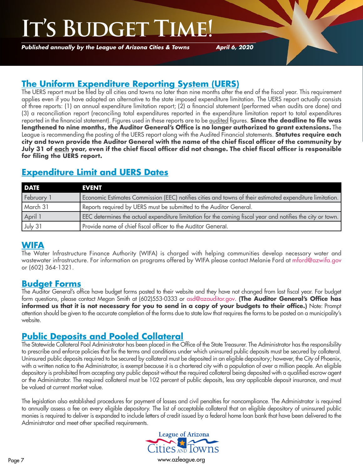*Published annually by the League of Arizona Cities & Towns*

*April 6, 2020*

## **The Uniform Expenditure Reporting System (UERS)**

The UERS report must be filed by all cities and towns no later than nine months after the end of the fiscal year. This requirement applies even if you have adopted an alternative to the state imposed expenditure limitation. The UERS report actually consists of three reports: (1) an annual expenditure limitation report; (2) a financial statement (performed when audits are done) and (3) a reconciliation report (reconciling total expenditures reported in the expenditure limitation report to total expenditures reported in the financial statement). Figures used in these reports are to be audited figures. **Since the deadline to file was lengthened to nine months, the Auditor General's Office is no longer authorized to grant extensions.** The League is recommending the posting of the UERS report along with the Audited Financial statements. **Statutes require each city and town provide the Auditor General with the name of the chief fiscal officer of the community by July 31 of each year, even if the chief fiscal officer did not change. The chief fiscal officer is responsible for filing the UERS report.**

## **Expenditure Limit and UERS Dates**

| <b>DATE</b> | <b>EVENT</b>                                                                                               |
|-------------|------------------------------------------------------------------------------------------------------------|
| February 1  | Economic Estimates Commission (EEC) notifies cities and towns of their estimated expenditure limitation.   |
| March 31    | Reports required by UERS must be submitted to the Auditor General.                                         |
| April 1     | EEC determines the actual expenditure limitation for the coming fiscal year and notifies the city or town. |
| July 31     | Provide name of chief fiscal officer to the Auditor General.                                               |

### **WIFA**

The Water Infrastructure Finance Authority (WIFA) is charged with helping communities develop necessary water and wastewater infrastructure. For information on programs offered by WIFA please contact Melanie Ford at mford@azwifa.gov or (602) 364-1321.

### **Budget Forms**

The Auditor General's office have budget forms posted to their website and they have not changed from last fiscal year. For budget form questions, please contact Megan Smith at (602)553-0333 or asd@azauditor.gov. **(The Auditor General's Office has informed us that it is not necessary for you to send in a copy of your budgets to their office.)** Note: Prompt attention should be given to the accurate completion of the forms due to state law that requires the forms to be posted on a municipality's website.

### **Public Deposits and Pooled Collateral**

The Statewide Collateral Pool Administrator has been placed in the Office of the State Treasurer. The Administrator has the responsibility to prescribe and enforce policies that fix the terms and conditions under which uninsured public deposits must be secured by collateral. Uninsured public deposits required to be secured by collateral must be deposited in an eligible depository; however, the City of Phoenix, with a written notice to the Administrator, is exempt because it is a chartered city with a population of over a million people. An eligible depository is prohibited from accepting any public deposit without the required collateral being deposited with a qualified escrow agent or the Administrator. The required collateral must be 102 percent of public deposits, less any applicable deposit insurance, and must be valued at current market value.

The legislation also established procedures for payment of losses and civil penalties for noncompliance. The Administrator is required to annually assess a fee on every eligible depository. The list of acceptable collateral that an eligible depository of uninsured public monies is required to deliver is expanded to include letters of credit issued by a federal home loan bank that have been delivered to the Administrator and meet other specified requirements.



Page 7 [www.azleague.org](http://www.azleague.org)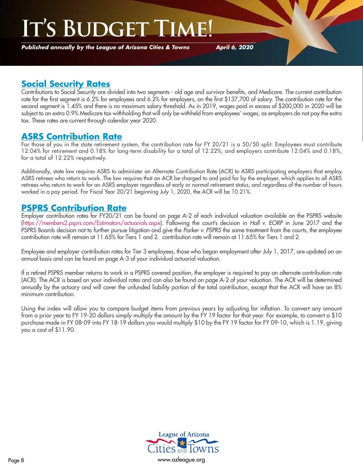# **IS BUDGET**

*Published annually by the League of Arizona Cities & Towns*

*April 6, 2020*

## **Social Security Rates**

Contributions to Social Security are divided into two segments - old age and survivor benefits, and Medicare. The current contribution rate for the first segment is 6.2% for employees and 6.2% for employers, on the first \$137,700 of salary. The contribution rate for the second segment is 1.45% and there is no maximum salary threshold. As in 2019, wages paid in excess of \$200,000 in 2020 will be subject to an extra 0.9% Medicare tax withholding that will only be withheld from employees' wages, as employers do not pay the extra tax. These rates are current through calendar year 2020.

### **ASRS Contribution Rate**

For those of you in the state retirement system, the contribution rate for FY 20/21 is a 50/50 split: Employees must contribute 12.04% for retirement and 0.18% for long-term disability for a total of 12.22%; and employers contribute 12.04% and 0.18%, for a total of 12.22% respectively.

Additionally, state law requires ASRS to administer an Alternate Contribution Rate (ACR) to ASRS participating employers that employ ASRS retirees who return to work. The law requires that an ACR be charged to and paid for by the employer, which applies to all ASRS retirees who return to work for an ASRS employer regardless of early or normal retirement status, and regardless of the number of hours worked in a pay period. For Fiscal Year 20/21 beginning July 1, 2020, the ACR will be 10.21%.

### **PSPRS Contribution Rate**

Employer contribution rates for FY20/21 can be found on page A-2 of each individual valuation available on the PSPRS website (<https://members2.psprs.com/Estimators/actuarials.aspx>). Following the court's decision in *Hall v. EORP* in June 2017 and the PSPRS Boards decision not to further pursue litigation and give the *Parker v. PSPRS* the same treatment from the courts, the employee contribution rate will remain at 11.65% for Tiers 1 and 2. contribution rate will remain at 11.65% for Tiers 1 and 2.

Employee and employer contribution rates for Tier 3 employees, those who began employment after July 1, 2017, are updated on an annual basis and can be found on page A-3 of your individual actuarial valuation.

If a retired PSPRS member returns to work in a PSPRS covered position, the employer is required to pay an alternate contribution rate (ACR). The ACR is based on your individual rates and can also be found on page A-2 of your valuation. The ACR will be determined annually by the actuary and will cover the unfunded liability portion of the total contribution, except that the ACR will have an 8% minimum contribution.

Using the index will allow you to compare budget items from previous years by adjusting for inflation. To convert any amount from a prior year to FY 19-20 dollars simply multiply the amount by the FY 19 factor for that year. For example, to convert a \$10 purchase made in FY 08-09 into FY 18-19 dollars you would multiply \$10 by the FY 19 factor for FY 09-10, which is 1.19, giving you a cost of \$11.90.

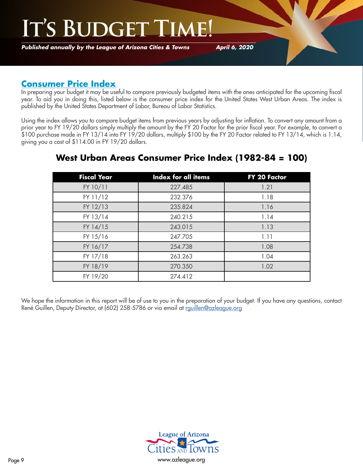*Published annually by the League of Arizona Cities & Towns*

*April 6, 2020*

## **Consumer Price Index**

In preparing your budget it may be useful to compare previously budgeted items with the ones anticipated for the upcoming fiscal year. To aid you in doing this, listed below is the consumer price index for the United States West Urban Areas. The index is published by the United States Department of Labor, Bureau of Labor Statistics.

Using the index allows you to compare budget items from previous years by adjusting for inflation. To convert any amount from a prior year to FY 19/20 dollars simply multiply the amount by the FY 20 Factor for the prior fiscal year. For example, to convert a \$100 purchase made in FY 13/14 into FY 19/20 dollars, multiply \$100 by the FY 20 Factor related to FY 13/14, which is 1.14, giving you a cost of \$114.00 in FY 19/20 dollars.

| <b>Fiscal Year</b> | Index for all items | FY 20 Factor |
|--------------------|---------------------|--------------|
| FY 10/11           | 227.485             | 1.21         |
| FY 11/12           | 232.376             | 1.18         |
| FY 12/13           | 235.824             | 1.16         |
| FY 13/14           | 240.215             | 1.14         |
| FY 14/15           | 243.015             | 1.13         |
| FY 15/16           | 247.705             | 1.11         |
| FY 16/17           | 254.738             | 1.08         |
| FY 17/18           | 263.263             | 1.04         |
| FY 18/19           | 270.350             | 1.02         |
| FY 19/20           | 274.412             |              |

## **West Urban Areas Consumer Price Index (1982-84 = 100)**

We hope the information in this report will be of use to you in the preparation of your budget. If you have any questions, contact René Guillen, Deputy Director, at (602) 258-5786 or via email at <rguillen@azleague.org>

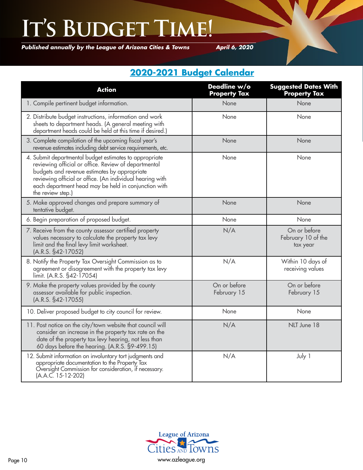*Published annually by the League of Arizona Cities & Towns*

*April 6, 2020*

## **2020-2021 Budget Calendar**

| <b>Action</b>                                                                                                                                                                                                                                                                                            | Deadline w/o<br><b>Property Tax</b> | <b>Suggested Dates With</b><br><b>Property Tax</b> |
|----------------------------------------------------------------------------------------------------------------------------------------------------------------------------------------------------------------------------------------------------------------------------------------------------------|-------------------------------------|----------------------------------------------------|
| 1. Compile pertinent budget information.                                                                                                                                                                                                                                                                 | None                                | None                                               |
| 2. Distribute budget instructions, information and work<br>sheets to department heads. (A general meeting with<br>department heads could be held at this time if desired.)                                                                                                                               | None                                | None                                               |
| 3. Complete compilation of the upcoming fiscal year's<br>revenue estimates including debt service requirements, etc.                                                                                                                                                                                     | None                                | None                                               |
| 4. Submit departmental budget estimates to appropriate<br>reviewing official or office. Review of departmental<br>budgets and revenue estimates by appropriate<br>reviewing official or office. (An individual hearing with<br>each department head may be held in conjunction with<br>the review step.) | None                                | None                                               |
| 5. Make approved changes and prepare summary of<br>tentative budget.                                                                                                                                                                                                                                     | None                                | None                                               |
| 6. Begin preparation of proposed budget.                                                                                                                                                                                                                                                                 | None                                | None                                               |
| 7. Receive from the county assessor certified property<br>values necessary to calculate the property tax levy<br>limit and the final levy limit worksheet.<br>(A.R.S. §42-17052)                                                                                                                         | N/A                                 | On or before<br>February 10 of the<br>tax year     |
| 8. Notify the Property Tax Oversight Commission as to<br>agreement or disagreement with the property tax levy<br>limit. (A.R.S. §42-17054)                                                                                                                                                               | N/A                                 | Within 10 days of<br>receiving values              |
| 9. Make the property values provided by the county<br>assessor available for public inspection.<br>(A.R.S. §42-17055)                                                                                                                                                                                    | On or before<br>February 15         | On or before<br>February 15                        |
| 10. Deliver proposed budget to city council for review.                                                                                                                                                                                                                                                  | None                                | None                                               |
| 11. Post notice on the city/town website that council will<br>consider an increase in the property tax rate on the<br>date of the property tax levy hearing, not less than<br>60 days before the hearing. (A.R.S. §9-499.15)                                                                             | N/A                                 | NLT June 18                                        |
| 12. Submit information on involuntary tort judgments and<br>appropriate documentation to the Property Tax<br>Oversight Commission for consideration, if necessary.<br>(A.A.C. 15-12-202)                                                                                                                 | N/A                                 | July 1                                             |